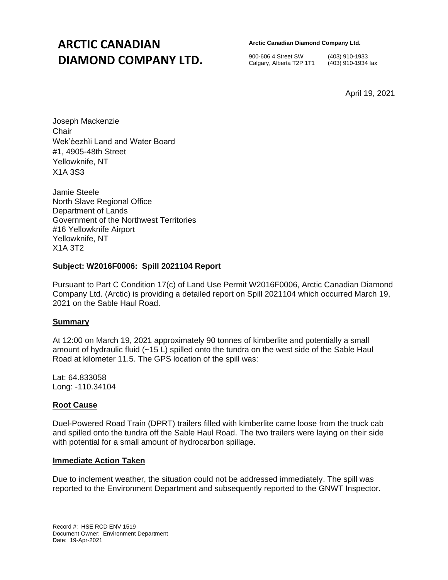## **ARCTIC CANADIAN DIAMOND COMPANY LTD.**

**Arctic Canadian Diamond Company Ltd.** 

900-606 4 Street SW (403) 910-1933 Calgary, Alberta T2P 1T1 (403) 910-1934 fax

April 19, 2021

Joseph Mackenzie **Chair** Wek'èezhìi Land and Water Board #1, 4905-48th Street Yellowknife, NT X1A 3S3

Jamie Steele North Slave Regional Office Department of Lands Government of the Northwest Territories #16 Yellowknife Airport Yellowknife, NT X1A 3T2

### **Subject: W2016F0006: Spill 2021104 Report**

Pursuant to Part C Condition 17(c) of Land Use Permit W2016F0006, Arctic Canadian Diamond Company Ltd. (Arctic) is providing a detailed report on Spill 2021104 which occurred March 19, 2021 on the Sable Haul Road.

#### **Summary**

At 12:00 on March 19, 2021 approximately 90 tonnes of kimberlite and potentially a small amount of hydraulic fluid (~15 L) spilled onto the tundra on the west side of the Sable Haul Road at kilometer 11.5. The GPS location of the spill was:

Lat: 64.833058 Long: -110.34104

#### **Root Cause**

Duel-Powered Road Train (DPRT) trailers filled with kimberlite came loose from the truck cab and spilled onto the tundra off the Sable Haul Road. The two trailers were laying on their side with potential for a small amount of hydrocarbon spillage.

#### **Immediate Action Taken**

Due to inclement weather, the situation could not be addressed immediately. The spill was reported to the Environment Department and subsequently reported to the GNWT Inspector.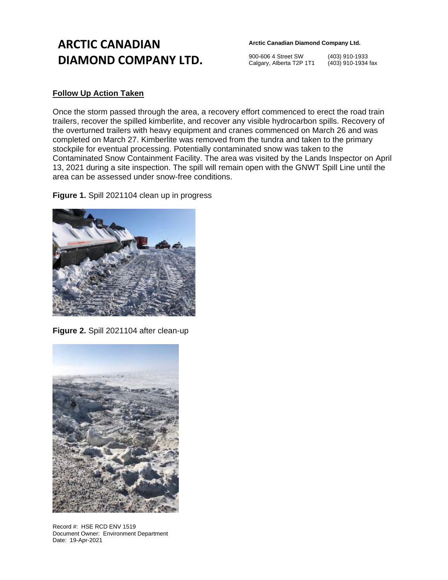# **ARCTIC CANADIAN DIAMOND COMPANY LTD.**

**Arctic Canadian Diamond Company Ltd.** 

900-606 4 Street SW (403) 910-1933 Calgary, Alberta T2P 1T1 (403) 910-1934 fax

### **Follow Up Action Taken**

Once the storm passed through the area, a recovery effort commenced to erect the road train trailers, recover the spilled kimberlite, and recover any visible hydrocarbon spills. Recovery of the overturned trailers with heavy equipment and cranes commenced on March 26 and was completed on March 27. Kimberlite was removed from the tundra and taken to the primary stockpile for eventual processing. Potentially contaminated snow was taken to the Contaminated Snow Containment Facility. The area was visited by the Lands Inspector on April 13, 2021 during a site inspection. The spill will remain open with the GNWT Spill Line until the area can be assessed under snow-free conditions.

**Figure 1.** Spill 2021104 clean up in progress



**Figure 2.** Spill 2021104 after clean-up



Record #: HSE RCD ENV 1519 Document Owner: Environment Department Date: 19-Apr-2021